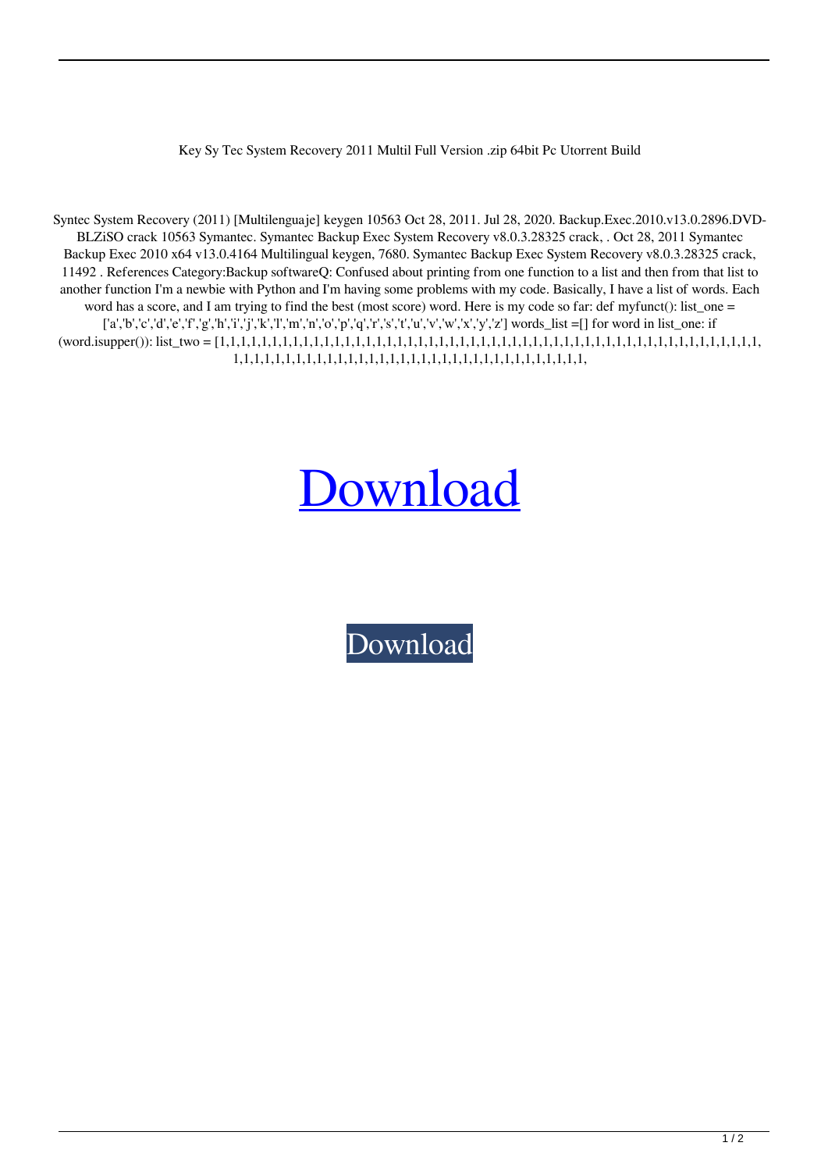Key Sy Tec System Recovery 2011 Multil Full Version .zip 64bit Pc Utorrent Build

Syntec System Recovery (2011) [Multilenguaje] keygen 10563 Oct 28, 2011. Jul 28, 2020. Backup.Exec.2010.v13.0.2896.DVD-BLZiSO crack 10563 Symantec. Symantec Backup Exec System Recovery v8.0.3.28325 crack, . Oct 28, 2011 Symantec Backup Exec 2010 x64 v13.0.4164 Multilingual keygen, 7680. Symantec Backup Exec System Recovery v8.0.3.28325 crack, 11492 . References Category:Backup softwareQ: Confused about printing from one function to a list and then from that list to another function I'm a newbie with Python and I'm having some problems with my code. Basically, I have a list of words. Each word has a score, and I am trying to find the best (most score) word. Here is my code so far: def myfunct(): list\_one = ['a','b','c','d','e','f','g','h','i','j','k','l','m','n','o','p','q','r','s','t','u','v','w','x','y','z'] words\_list =[] for word in list\_one: if (word.isupper()): list\_two = [1,1,1,1,1,1,1,1,1,1,1,1,1,1,1,1,1,1,1,1,1,1,1,1,1,1,1,1,1,1,1,1,1,1,1,1,1,1,1,1,1,1,1,1,1,1,1,1,1,1,1,1, 1,1,1,1,1,1,1,1,1,1,1,1,1,1,1,1,1,1,1,1,1,1,1,1,1,1,1,1,1,1,1,1,1,1,

## [Download](http://evacdir.com/ZG93bmxvYWR8Q0wxTVdkdU1IeDhNVFkxTWpjME1EZzJObng4TWpVM05IeDhLRTBwSUhKbFlXUXRZbXh2WnlCYlJtRnpkQ0JIUlU1ZA/centrality.striking.lathes/U3ltYW50ZWMgU3lzdGVtIFJlY292ZXJ5ICgyMDExKSBbTXVsdGlsZW5ndWFqZV0ga2V5Z2VuU3l.itinerary)

[Download](http://evacdir.com/ZG93bmxvYWR8Q0wxTVdkdU1IeDhNVFkxTWpjME1EZzJObng4TWpVM05IeDhLRTBwSUhKbFlXUXRZbXh2WnlCYlJtRnpkQ0JIUlU1ZA/centrality.striking.lathes/U3ltYW50ZWMgU3lzdGVtIFJlY292ZXJ5ICgyMDExKSBbTXVsdGlsZW5ndWFqZV0ga2V5Z2VuU3l.itinerary)